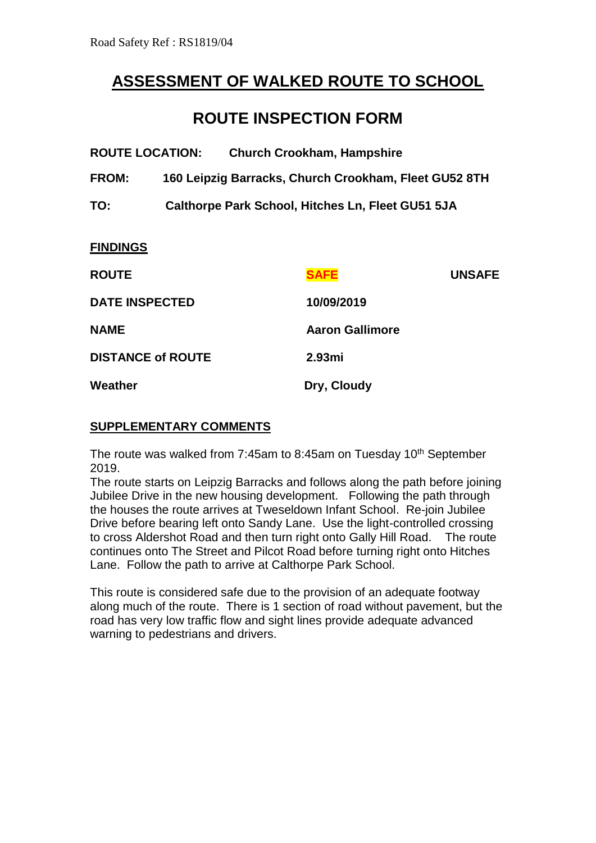# **ASSESSMENT OF WALKED ROUTE TO SCHOOL**

# **ROUTE INSPECTION FORM**

| <b>ROUTE LOCATION:</b>   |                                                       | <b>Church Crookham, Hampshire</b> |                        |               |
|--------------------------|-------------------------------------------------------|-----------------------------------|------------------------|---------------|
| <b>FROM:</b>             | 160 Leipzig Barracks, Church Crookham, Fleet GU52 8TH |                                   |                        |               |
| TO:                      | Calthorpe Park School, Hitches Ln, Fleet GU51 5JA     |                                   |                        |               |
| <b>FINDINGS</b>          |                                                       |                                   |                        |               |
| <b>ROUTE</b>             |                                                       |                                   | <b>SAFE</b>            | <b>UNSAFE</b> |
| <b>DATE INSPECTED</b>    |                                                       | 10/09/2019                        |                        |               |
| <b>NAME</b>              |                                                       |                                   | <b>Aaron Gallimore</b> |               |
| <b>DISTANCE of ROUTE</b> |                                                       | 2.93mi                            |                        |               |
| Weather                  |                                                       | Dry, Cloudy                       |                        |               |

# **SUPPLEMENTARY COMMENTS**

The route was walked from 7:45am to 8:45am on Tuesday 10<sup>th</sup> September 2019.

The route starts on Leipzig Barracks and follows along the path before joining Jubilee Drive in the new housing development. Following the path through the houses the route arrives at Tweseldown Infant School. Re-join Jubilee Drive before bearing left onto Sandy Lane. Use the light-controlled crossing to cross Aldershot Road and then turn right onto Gally Hill Road. The route continues onto The Street and Pilcot Road before turning right onto Hitches Lane. Follow the path to arrive at Calthorpe Park School.

This route is considered safe due to the provision of an adequate footway along much of the route. There is 1 section of road without pavement, but the road has very low traffic flow and sight lines provide adequate advanced warning to pedestrians and drivers.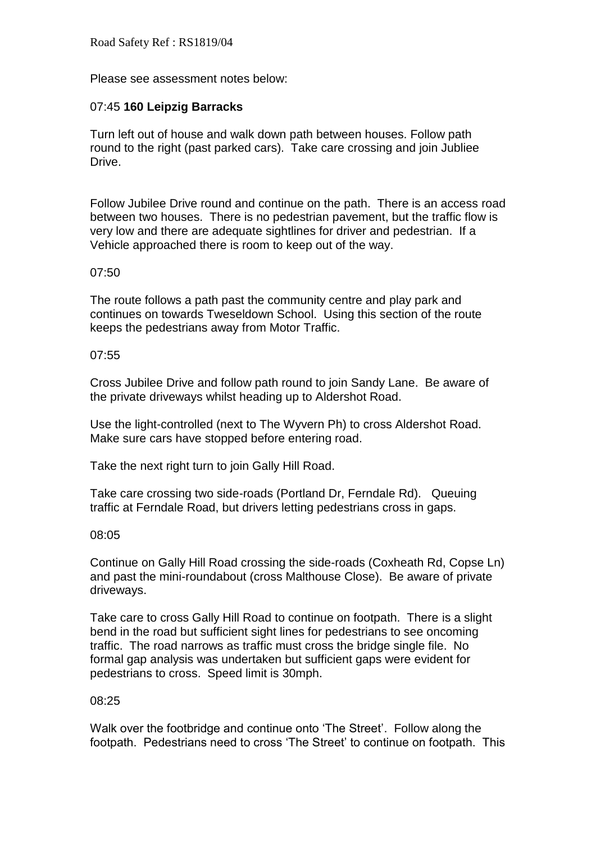Please see assessment notes below:

# 07:45 **160 Leipzig Barracks**

Turn left out of house and walk down path between houses. Follow path round to the right (past parked cars). Take care crossing and join Jubliee Drive.

Follow Jubilee Drive round and continue on the path. There is an access road between two houses. There is no pedestrian pavement, but the traffic flow is very low and there are adequate sightlines for driver and pedestrian. If a Vehicle approached there is room to keep out of the way.

### 07:50

The route follows a path past the community centre and play park and continues on towards Tweseldown School. Using this section of the route keeps the pedestrians away from Motor Traffic.

# 07:55

Cross Jubilee Drive and follow path round to join Sandy Lane. Be aware of the private driveways whilst heading up to Aldershot Road.

Use the light-controlled (next to The Wyvern Ph) to cross Aldershot Road. Make sure cars have stopped before entering road.

Take the next right turn to join Gally Hill Road.

Take care crossing two side-roads (Portland Dr, Ferndale Rd). Queuing traffic at Ferndale Road, but drivers letting pedestrians cross in gaps.

### 08:05

Continue on Gally Hill Road crossing the side-roads (Coxheath Rd, Copse Ln) and past the mini-roundabout (cross Malthouse Close). Be aware of private driveways.

Take care to cross Gally Hill Road to continue on footpath. There is a slight bend in the road but sufficient sight lines for pedestrians to see oncoming traffic. The road narrows as traffic must cross the bridge single file. No formal gap analysis was undertaken but sufficient gaps were evident for pedestrians to cross. Speed limit is 30mph.

### 08:25

Walk over the footbridge and continue onto 'The Street'. Follow along the footpath. Pedestrians need to cross 'The Street' to continue on footpath. This